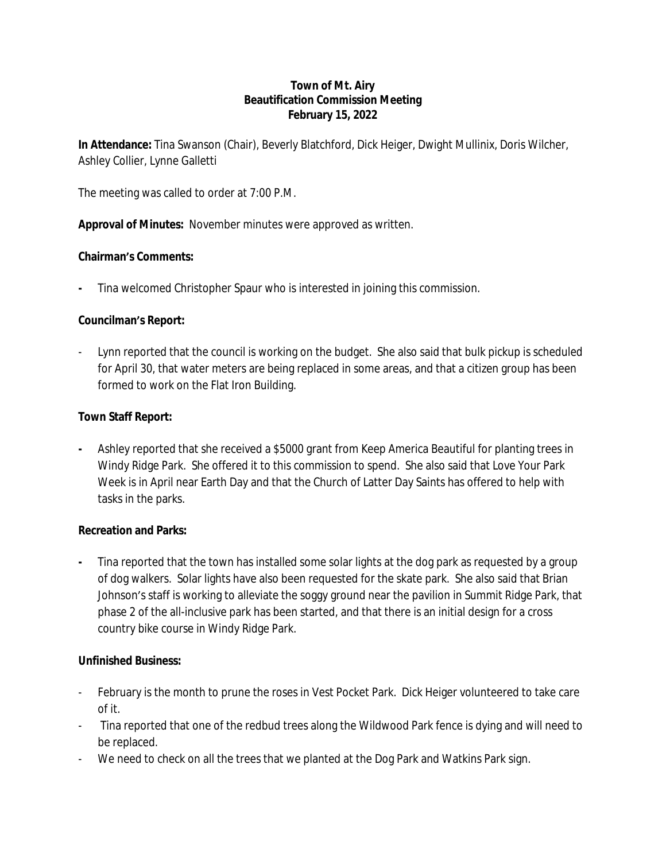#### **Town of Mt. Airy Beautification Commission Meeting February 15, 2022**

**In Attendance:** Tina Swanson (Chair), Beverly Blatchford, Dick Heiger, Dwight Mullinix, Doris Wilcher, Ashley Collier, Lynne Galletti

The meeting was called to order at 7:00 P.M.

**Approval of Minutes:** November minutes were approved as written.

# **Chairman's Comments:**

**-** Tina welcomed Christopher Spaur who is interested in joining this commission.

# **Councilman's Report:**

Lynn reported that the council is working on the budget. She also said that bulk pickup is scheduled for April 30, that water meters are being replaced in some areas, and that a citizen group has been formed to work on the Flat Iron Building.

# **Town Staff Report:**

**-** Ashley reported that she received a \$5000 grant from Keep America Beautiful for planting trees in Windy Ridge Park. She offered it to this commission to spend. She also said that Love Your Park Week is in April near Earth Day and that the Church of Latter Day Saints has offered to help with tasks in the parks.

#### **Recreation and Parks:**

**-** Tina reported that the town has installed some solar lights at the dog park as requested by a group of dog walkers. Solar lights have also been requested for the skate park. She also said that Brian Johnson's staff is working to alleviate the soggy ground near the pavilion in Summit Ridge Park, that phase 2 of the all-inclusive park has been started, and that there is an initial design for a cross country bike course in Windy Ridge Park.

#### **Unfinished Business:**

- February is the month to prune the roses in Vest Pocket Park. Dick Heiger volunteered to take care of it.
- Tina reported that one of the redbud trees along the Wildwood Park fence is dying and will need to be replaced.
- We need to check on all the trees that we planted at the Dog Park and Watkins Park sign.